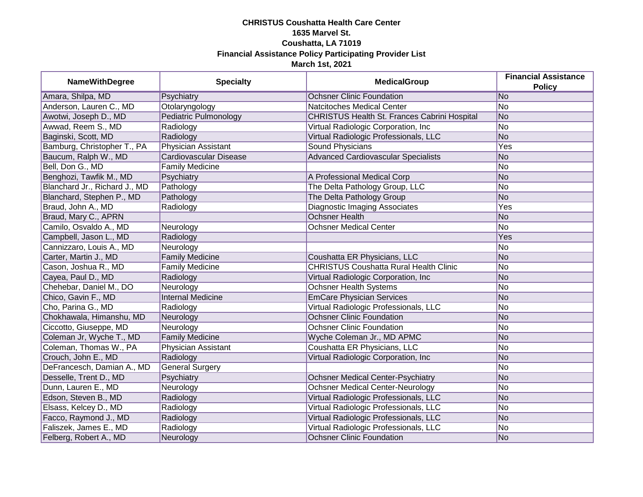## **CHRISTUS Coushatta Health Care Center 1635 Marvel St. Coushatta, LA 71019 Financial Assistance Policy Participating Provider List March 1st, 2021**

| <b>NameWithDegree</b>         | <b>Specialty</b>             | <b>MedicalGroup</b>                           | <b>Financial Assistance</b> |
|-------------------------------|------------------------------|-----------------------------------------------|-----------------------------|
|                               |                              |                                               | <b>Policy</b>               |
| Amara, Shilpa, MD             | Psychiatry                   | <b>Ochsner Clinic Foundation</b>              | No                          |
| Anderson, Lauren C., MD       | Otolaryngology               | <b>Natcitoches Medical Center</b>             | N <sub>o</sub>              |
| Awotwi, Joseph D., MD         | <b>Pediatric Pulmonology</b> | CHRISTUS Health St. Frances Cabrini Hospital  | No                          |
| Awwad, Reem S., MD            | Radiology                    | Virtual Radiologic Corporation, Inc           | No                          |
| Baginski, Scott, MD           | Radiology                    | Virtual Radiologic Professionals, LLC         | No                          |
| Bamburg, Christopher T., PA   | Physician Assistant          | Sound Physicians                              | Yes                         |
| Baucum, Ralph W., MD          | Cardiovascular Disease       | <b>Advanced Cardiovascular Specialists</b>    | No                          |
| Bell, Don G., MD              | <b>Family Medicine</b>       |                                               | No                          |
| Benghozi, Tawfik M., MD       | Psychiatry                   | A Professional Medical Corp                   | No                          |
| Blanchard Jr., Richard J., MD | Pathology                    | The Delta Pathology Group, LLC                | No                          |
| Blanchard, Stephen P., MD     | Pathology                    | The Delta Pathology Group                     | No                          |
| Braud, John A., MD            | Radiology                    | <b>Diagnostic Imaging Associates</b>          | Yes                         |
| Braud, Mary C., APRN          |                              | <b>Ochsner Health</b>                         | No                          |
| Camilo, Osvaldo A., MD        | Neurology                    | <b>Ochsner Medical Center</b>                 | No                          |
| Campbell, Jason L., MD        | Radiology                    |                                               | Yes                         |
| Cannizzaro, Louis A., MD      | Neurology                    |                                               | No                          |
| Carter, Martin J., MD         | <b>Family Medicine</b>       | Coushatta ER Physicians, LLC                  | No                          |
| Cason, Joshua R., MD          | <b>Family Medicine</b>       | <b>CHRISTUS Coushatta Rural Health Clinic</b> | No                          |
| Cayea, Paul D., MD            | Radiology                    | Virtual Radiologic Corporation, Inc           | No                          |
| Chehebar, Daniel M., DO       | Neurology                    | Ochsner Health Systems                        | No                          |
| Chico, Gavin F., MD           | <b>Internal Medicine</b>     | <b>EmCare Physician Services</b>              | N <sub>o</sub>              |
| Cho, Parina G., MD            | Radiology                    | Virtual Radiologic Professionals, LLC         | No                          |
| Chokhawala, Himanshu, MD      | Neurology                    | <b>Ochsner Clinic Foundation</b>              | <b>No</b>                   |
| Ciccotto, Giuseppe, MD        | Neurology                    | <b>Ochsner Clinic Foundation</b>              | No                          |
| Coleman Jr, Wyche T., MD      | <b>Family Medicine</b>       | Wyche Coleman Jr., MD APMC                    | No                          |
| Coleman, Thomas W., PA        | <b>Physician Assistant</b>   | Coushatta ER Physicians, LLC                  | No.                         |
| Crouch, John E., MD           | Radiology                    | Virtual Radiologic Corporation, Inc.          | No                          |
| DeFrancesch, Damian A., MD    | General Surgery              |                                               | No.                         |
| Desselle, Trent D., MD        | Psychiatry                   | <b>Ochsner Medical Center-Psychiatry</b>      | No                          |
| Dunn, Lauren E., MD           | Neurology                    | <b>Ochsner Medical Center-Neurology</b>       | No                          |
| Edson, Steven B., MD          | Radiology                    | Virtual Radiologic Professionals, LLC         | No                          |
| Elsass, Kelcey D., MD         | Radiology                    | Virtual Radiologic Professionals, LLC         | No                          |
| Facco, Raymond J., MD         | Radiology                    | Virtual Radiologic Professionals, LLC         | No                          |
| Faliszek, James E., MD        | Radiology                    | Virtual Radiologic Professionals, LLC         | No                          |
| Felberg, Robert A., MD        | Neurology                    | <b>Ochsner Clinic Foundation</b>              | No                          |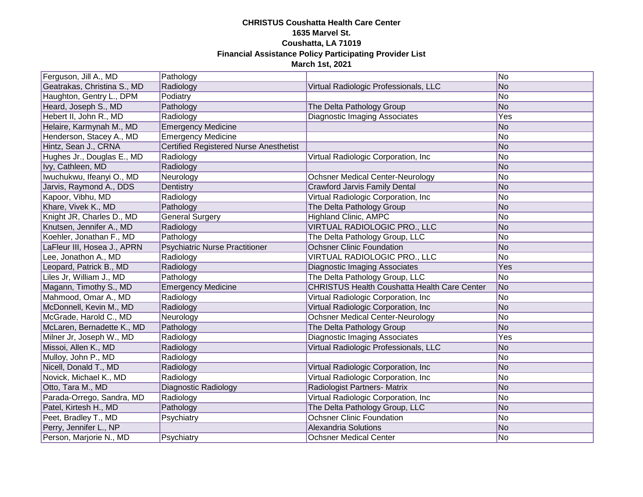## **CHRISTUS Coushatta Health Care Center 1635 Marvel St. Coushatta, LA 71019 Financial Assistance Policy Participating Provider List March 1st, 2021**

| Ferguson, Jill A., MD       | Pathology                                     |                                                     | No  |
|-----------------------------|-----------------------------------------------|-----------------------------------------------------|-----|
| Geatrakas, Christina S., MD | Radiology                                     | Virtual Radiologic Professionals, LLC               | No  |
| Haughton, Gentry L., DPM    | Podiatry                                      |                                                     | No  |
| Heard, Joseph S., MD        | Pathology                                     | The Delta Pathology Group                           | No  |
| Hebert II, John R., MD      | Radiology                                     | <b>Diagnostic Imaging Associates</b>                | Yes |
| Helaire, Karmynah M., MD    | <b>Emergency Medicine</b>                     |                                                     | No  |
| Henderson, Stacey A., MD    | <b>Emergency Medicine</b>                     |                                                     | No  |
| Hintz, Sean J., CRNA        | <b>Certified Registered Nurse Anesthetist</b> |                                                     | No  |
| Hughes Jr., Douglas E., MD  | Radiology                                     | Virtual Radiologic Corporation, Inc                 | No  |
| Ivy, Cathleen, MD           | Radiology                                     |                                                     | No  |
| Iwuchukwu, Ifeanyi O., MD   | Neurology                                     | <b>Ochsner Medical Center-Neurology</b>             | No  |
| Jarvis, Raymond A., DDS     | Dentistry                                     | <b>Crawford Jarvis Family Dental</b>                | No  |
| Kapoor, Vibhu, MD           | Radiology                                     | Virtual Radiologic Corporation, Inc                 | No  |
| Khare, Vivek K., MD         | Pathology                                     | The Delta Pathology Group                           | No  |
| Knight JR, Charles D., MD   | <b>General Surgery</b>                        | <b>Highland Clinic, AMPC</b>                        | No  |
| Knutsen, Jennifer A., MD    | Radiology                                     | VIRTUAL RADIOLOGIC PRO., LLC                        | No  |
| Koehler, Jonathan F., MD    | Pathology                                     | The Delta Pathology Group, LLC                      | No  |
| LaFleur III, Hosea J., APRN | <b>Psychiatric Nurse Practitioner</b>         | <b>Ochsner Clinic Foundation</b>                    | No  |
| Lee, Jonathon A., MD        | Radiology                                     | VIRTUAL RADIOLOGIC PRO., LLC                        | No  |
| Leopard, Patrick B., MD     | Radiology                                     | <b>Diagnostic Imaging Associates</b>                | Yes |
| Liles Jr, William J., MD    | Pathology                                     | The Delta Pathology Group, LLC                      | No  |
| Magann, Timothy S., MD      | <b>Emergency Medicine</b>                     | <b>CHRISTUS Health Coushatta Health Care Center</b> | No  |
| Mahmood, Omar A., MD        | Radiology                                     | Virtual Radiologic Corporation, Inc                 | No  |
| McDonnell, Kevin M., MD     | Radiology                                     | Virtual Radiologic Corporation, Inc                 | No  |
| McGrade, Harold C., MD      | Neurology                                     | <b>Ochsner Medical Center-Neurology</b>             | No  |
| McLaren, Bernadette K., MD  | Pathology                                     | The Delta Pathology Group                           | No  |
| Milner Jr, Joseph W., MD    | Radiology                                     | <b>Diagnostic Imaging Associates</b>                | Yes |
| Missoi, Allen K., MD        | Radiology                                     | Virtual Radiologic Professionals, LLC               | No  |
| Mulloy, John P., MD         | Radiology                                     |                                                     | No  |
| Nicell, Donald T., MD       | Radiology                                     | Virtual Radiologic Corporation, Inc                 | No  |
| Novick, Michael K., MD      | Radiology                                     | Virtual Radiologic Corporation, Inc                 | No  |
| Otto, Tara M., MD           | Diagnostic Radiology                          | Radiologist Partners- Matrix                        | No  |
| Parada-Orrego, Sandra, MD   | Radiology                                     | Virtual Radiologic Corporation, Inc                 | No  |
| Patel, Kirtesh H., MD       | Pathology                                     | The Delta Pathology Group, LLC                      | No  |
| Peet, Bradley T., MD        | Psychiatry                                    | <b>Ochsner Clinic Foundation</b>                    | No  |
| Perry, Jennifer L., NP      |                                               | <b>Alexandria Solutions</b>                         | No  |
| Person, Marjorie N., MD     | Psychiatry                                    | <b>Ochsner Medical Center</b>                       | No  |